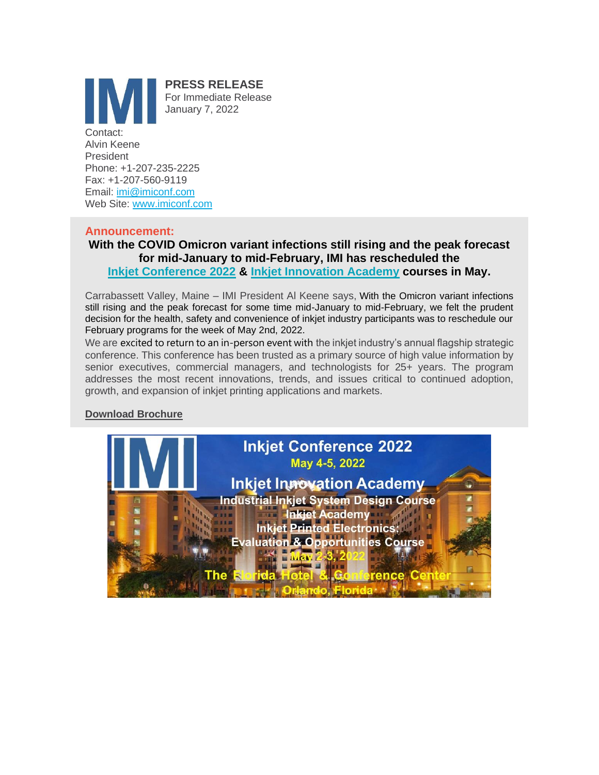

Email: [imi@imiconf.com](mailto:imi@imiconf.com) Web Site: [www.imiconf.com](http://www.imiconf.com/)

## **Announcement:**

**With the COVID Omicron variant infections still rising and the peak forecast for mid-January to mid-February, IMI has rescheduled the [Inkjet Conference 2022](https://www.imiconf.com/ijc-feb2022) & [Inkjet Innovation Academy](https://www.imiconf.com/) courses in May.**

Carrabassett Valley, Maine – IMI President Al Keene says, With the Omicron variant infections still rising and the peak forecast for some time mid-January to mid-February, we felt the prudent decision for the health, safety and convenience of inkjet industry participants was to reschedule our February programs for the week of May 2nd, 2022.

We are excited to return to an in-person event with the inkjet industry's annual flagship strategic conference. This conference has been trusted as a primary source of high value information by senior executives, commercial managers, and technologists for 25+ years. The program addresses the most recent innovations, trends, and issues critical to continued adoption, growth, and expansion of inkjet printing applications and markets.

# **[Download Brochure](https://www.imiconf1.com/pdf/Inkjet%20Conference%202022%20Brochure.pdf)**

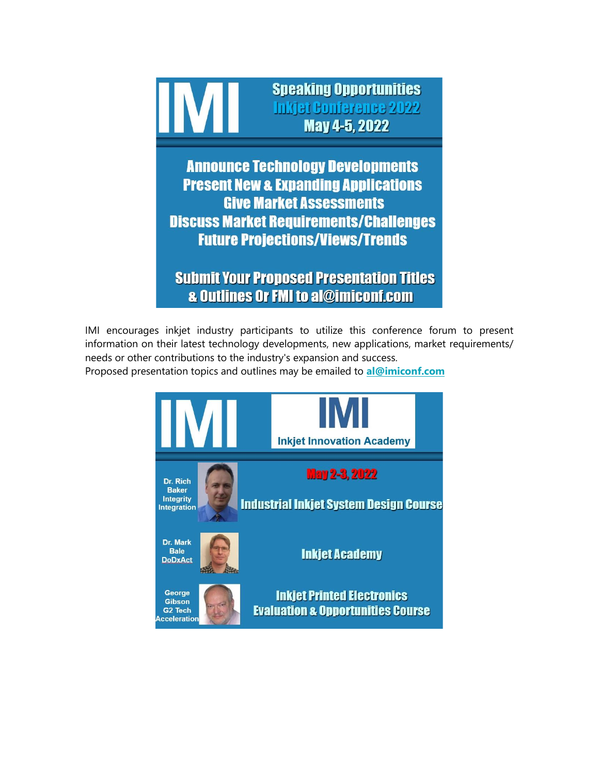

**Announce Technology Developments Present New & Expanding Applications Give Market Assessments Discuss Market Requirements/Challenges Future Projections/Views/Trends** 

**Submit Your Proposed Presentation Titles & Outlines Or FMI to al@imiconf.com** 

IMI encourages inkjet industry participants to utilize this conference forum to present information on their latest technology developments, new applications, market requirements/ needs or other contributions to the industry's expansion and success.

Proposed presentation topics and outlines may be emailed to **[al@imiconf.com](mailto:al@imiconf.com)**

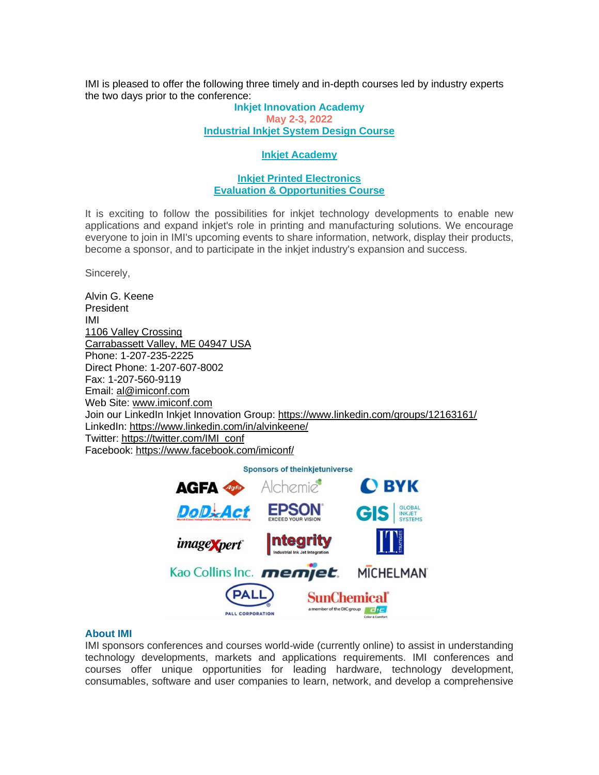IMI is pleased to offer the following three timely and in-depth courses led by industry experts the two days prior to the conference:

#### **Inkjet Innovation Academy May 2-3, 2022 [Industrial Inkjet System Design Course](https://www.imiconf.com/ijsd-feb2022)**

#### **[Inkjet Academy](https://www.imiconf.com/ija-feb2022)**

### **[Inkjet Printed Electronics](https://www.imiconf.com/iape-feb2022) [Evaluation & Opportunities Course](https://www.imiconf.com/iape-feb2022)**

It is exciting to follow the possibilities for inkjet technology developments to enable new applications and expand inkjet's role in printing and manufacturing solutions. We encourage everyone to join in IMI's upcoming events to share information, network, display their products, become a sponsor, and to participate in the inkjet industry's expansion and success.

Sincerely,

Alvin G. Keene President IMI [1106 Valley Crossing](https://www.google.com/maps/search/1106+Valley+Crossing+Carrabassett+Valley,+ME+04947+USA?entry=gmail&source=g) [Carrabassett Valley, ME 04947 USA](https://www.google.com/maps/search/1106+Valley+Crossing+Carrabassett+Valley,+ME+04947+USA?entry=gmail&source=g) Phone: 1-207-235-2225 Direct Phone: 1-207-607-8002 Fax: 1-207-560-9119 Email: [al@imiconf.com](mailto:al@imiconf.com) Web Site: [www.imiconf.com](http://www.imiconf.com/) Join our LinkedIn Inkjet Innovation Group: https://www.linkedin.com/groups/12163161/ LinkedIn: <https://www.linkedin.com/in/alvinkeene/> Twitter: [https://twitter.com/IMI\\_conf](https://twitter.com/IMI_conf) Facebook: <https://www.facebook.com/imiconf/>



#### **About IMI**

IMI sponsors conferences and courses world-wide (currently online) to assist in understanding technology developments, markets and applications requirements. IMI conferences and courses offer unique opportunities for leading hardware, technology development, consumables, software and user companies to learn, network, and develop a comprehensive